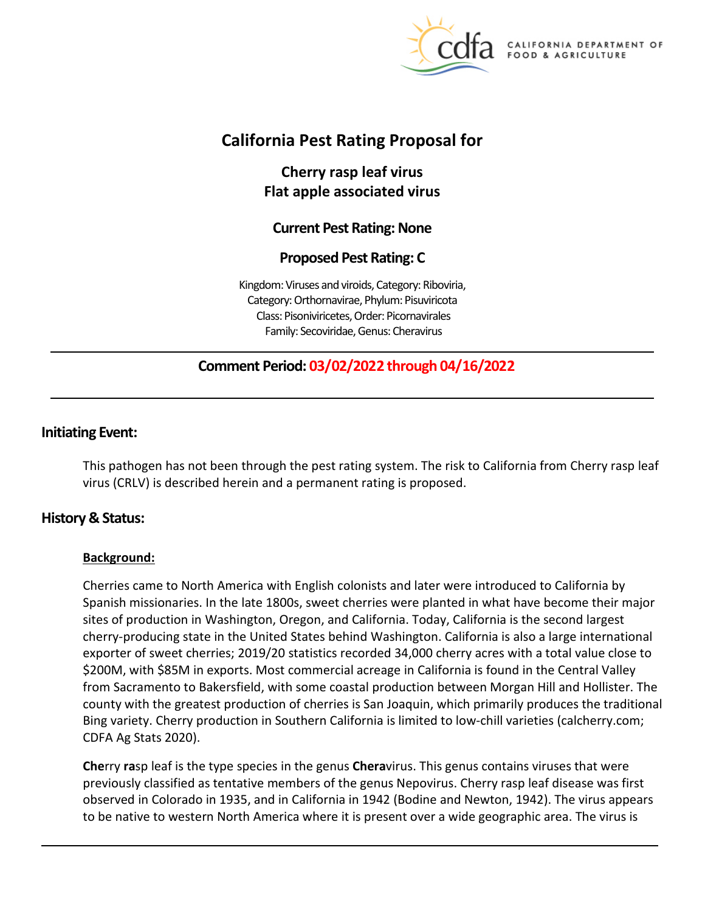

**CALIFORNIA DEPARTMENT OF** FOOD & AGRICULTURE

# **California Pest Rating Proposal for**

**Cherry rasp leaf virus Flat apple associated virus** 

## **Current Pest Rating: None**

## **Proposed Pest Rating: C**

Kingdom: Viruses and viroids, Category: Riboviria, Category: Orthornavirae, Phylum: Pisuviricota Class: Pisoniviricetes, Order: Picornavirales Family: Secoviridae, Genus: Cheravirus

## **Comment Period: 03/02/2022 through 04/16/2022**

## **Initiating Event:**

This pathogen has not been through the pest rating system. The risk to California from Cherry rasp leaf virus (CRLV) is described herein and a permanent rating is proposed.

## **History & Status:**

### **Background:**

Cherries came to North America with English colonists and later were introduced to California by Spanish missionaries. In the late 1800s, sweet cherries were planted in what have become their major sites of production in Washington, Oregon, and California. Today, California is the second largest cherry-producing state in the United States behind Washington. California is also a large international exporter of sweet cherries; 2019/20 statistics recorded 34,000 cherry acres with a total value close to \$200M, with \$85M in exports. Most commercial acreage in California is found in the Central Valley from Sacramento to Bakersfield, with some coastal production between Morgan Hill and Hollister. The county with the greatest production of cherries is San Joaquin, which primarily produces the traditional Bing variety. Cherry production in Southern California is limited to low-chill varieties ([calcherry.com](https://calcherry.com); CDFA Ag Stats 2020).

**Che**rry **ra**sp leaf is the type species in the genus **Chera**virus. This genus contains viruses that were previously classified as tentative members of the genus Nepovirus. Cherry rasp leaf disease was first observed in Colorado in 1935, and in California in 1942 (Bodine and Newton, 1942). The virus appears to be native to western North America where it is present over a wide geographic area. The virus is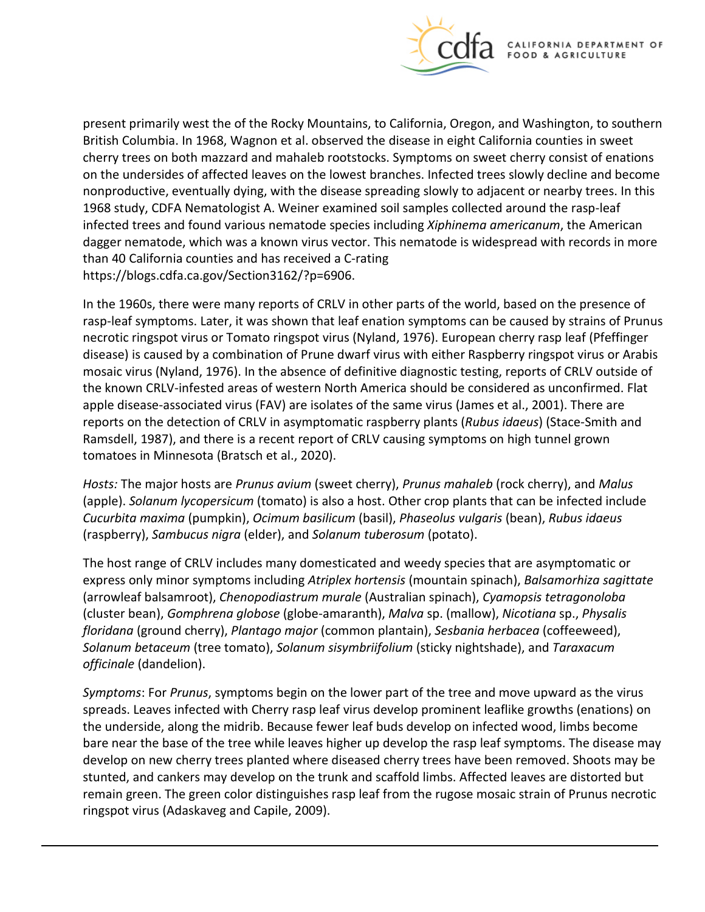

present primarily west the of the Rocky Mountains, to California, Oregon, and Washington, to southern British Columbia. In 1968, Wagnon et al. observed the disease in eight California counties in sweet cherry trees on both mazzard and mahaleb rootstocks. Symptoms on sweet cherry consist of enations on the undersides of affected leaves on the lowest branches. Infected trees slowly decline and become nonproductive, eventually dying, with the disease spreading slowly to adjacent or nearby trees. In this 1968 study, CDFA Nematologist A. Weiner examined soil samples collected around the rasp-leaf infected trees and found various nematode species including *Xiphinema americanum*, the American dagger nematode, which was a known virus vector. This nematode is widespread with records in more than 40 California counties and has received a C-rating <https://blogs.cdfa.ca.gov/Section3162/?p=6906>.

In the 1960s, there were many reports of CRLV in other parts of the world, based on the presence of rasp-leaf symptoms. Later, it was shown that leaf enation symptoms can be caused by strains of Prunus necrotic ringspot virus or Tomato ringspot virus (Nyland, 1976). European cherry rasp leaf (Pfeffinger disease) is caused by a combination of Prune dwarf virus with either Raspberry ringspot virus or Arabis mosaic virus (Nyland, 1976). In the absence of definitive diagnostic testing, reports of CRLV outside of the known CRLV-infested areas of western North America should be considered as unconfirmed. Flat apple disease-associated virus (FAV) are isolates of the same virus (James et al., 2001). There are reports on the detection of CRLV in asymptomatic raspberry plants (*Rubus idaeus*) (Stace-Smith and Ramsdell, 1987), and there is a recent report of CRLV causing symptoms on high tunnel grown tomatoes in Minnesota (Bratsch et al., 2020).

*Hosts:* The major hosts are *Prunus avium* (sweet cherry), *Prunus mahaleb* (rock cherry), and *Malus*  (apple). *Solanum lycopersicum* (tomato) is also a host. Other crop plants that can be infected include *Cucurbita maxima* (pumpkin), *Ocimum basilicum* (basil), *Phaseolus vulgaris* (bean), *Rubus idaeus*  (raspberry), *Sambucus nigra* (elder), and *Solanum tuberosum* (potato).

The host range of CRLV includes many domesticated and weedy species that are asymptomatic or express only minor symptoms including *Atriplex hortensis* (mountain spinach), *Balsamorhiza sagittate*  (arrowleaf balsamroot), *Chenopodiastrum murale* (Australian spinach), *Cyamopsis tetragonoloba*  (cluster bean), *Gomphrena globose* (globe-amaranth), *Malva* sp. (mallow), *Nicotiana* sp., *Physalis floridana* (ground cherry), *Plantago major* (common plantain), *Sesbania herbacea* (coffeeweed), *Solanum betaceum* (tree tomato), *Solanum sisymbriifolium* (sticky nightshade), and *Taraxacum officinale* (dandelion).

*Symptoms*: For *Prunus*, symptoms begin on the lower part of the tree and move upward as the virus spreads. Leaves infected with Cherry rasp leaf virus develop prominent leaflike growths (enations) on the underside, along the midrib. Because fewer leaf buds develop on infected wood, limbs become bare near the base of the tree while leaves higher up develop the rasp leaf symptoms. The disease may develop on new cherry trees planted where diseased cherry trees have been removed. Shoots may be stunted, and cankers may develop on the trunk and scaffold limbs. Affected leaves are distorted but remain green. The green color distinguishes rasp leaf from the rugose mosaic strain of Prunus necrotic ringspot virus (Adaskaveg and Capile, 2009).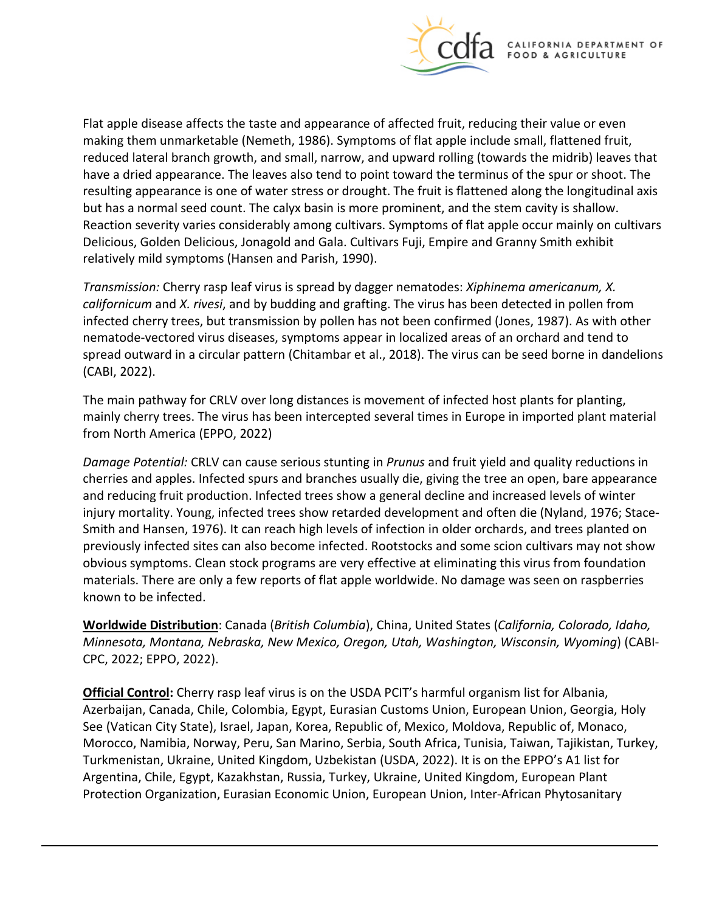

Flat apple disease affects the taste and appearance of affected fruit, reducing their value or even making them unmarketable (Nemeth, 1986). Symptoms of flat apple include small, flattened fruit, reduced lateral branch growth, and small, narrow, and upward rolling (towards the midrib) leaves that have a dried appearance. The leaves also tend to point toward the terminus of the spur or shoot. The resulting appearance is one of water stress or drought. The fruit is flattened along the longitudinal axis but has a normal seed count. The calyx basin is more prominent, and the stem cavity is shallow. Reaction severity varies considerably among cultivars. Symptoms of flat apple occur mainly on cultivars Delicious, Golden Delicious, Jonagold and Gala. Cultivars Fuji, Empire and Granny Smith exhibit relatively mild symptoms (Hansen and Parish, 1990).

*Transmission:* Cherry rasp leaf virus is spread by dagger nematodes: *Xiphinema americanum, X. californicum* and *X. rivesi*, and by budding and grafting. The virus has been detected in pollen from infected cherry trees, but transmission by pollen has not been confirmed (Jones, 1987). As with other nematode-vectored virus diseases, symptoms appear in localized areas of an orchard and tend to spread outward in a circular pattern (Chitambar et al., 2018). The virus can be seed borne in dandelions (CABI, 2022).

The main pathway for CRLV over long distances is movement of infected host plants for planting, mainly cherry trees. The virus has been intercepted several times in Europe in imported plant material from North America (EPPO, 2022)

*Damage Potential:* CRLV can cause serious stunting in *Prunus* and fruit yield and quality reductions in cherries and apples. Infected spurs and branches usually die, giving the tree an open, bare appearance and reducing fruit production. Infected trees show a general decline and increased levels of winter injury mortality. Young, infected trees show retarded development and often die (Nyland, 1976; Stace-Smith and Hansen, 1976). It can reach high levels of infection in older orchards, and trees planted on previously infected sites can also become infected. Rootstocks and some scion cultivars may not show obvious symptoms. Clean stock programs are very effective at eliminating this virus from foundation materials. There are only a few reports of flat apple worldwide. No damage was seen on raspberries known to be infected.

**Worldwide Distribution**: Canada (*British Columbia*), China, United States (*California, Colorado, Idaho, Minnesota, Montana, Nebraska, New Mexico, Oregon, Utah, Washington, Wisconsin, Wyoming*) (CABI-CPC, 2022; EPPO, 2022).

**Official Control:** Cherry rasp leaf virus is on the USDA PCIT's harmful organism list for Albania, Azerbaijan, Canada, Chile, Colombia, Egypt, Eurasian Customs Union, European Union, Georgia, Holy See (Vatican City State), Israel, Japan, Korea, Republic of, Mexico, Moldova, Republic of, Monaco, Morocco, Namibia, Norway, Peru, San Marino, Serbia, South Africa, Tunisia, Taiwan, Tajikistan, Turkey, Turkmenistan, Ukraine, United Kingdom, Uzbekistan (USDA, 2022). It is on the EPPO's A1 list for Argentina, Chile, Egypt, Kazakhstan, Russia, Turkey, Ukraine, United Kingdom, European Plant Protection Organization, Eurasian Economic Union, European Union, Inter-African Phytosanitary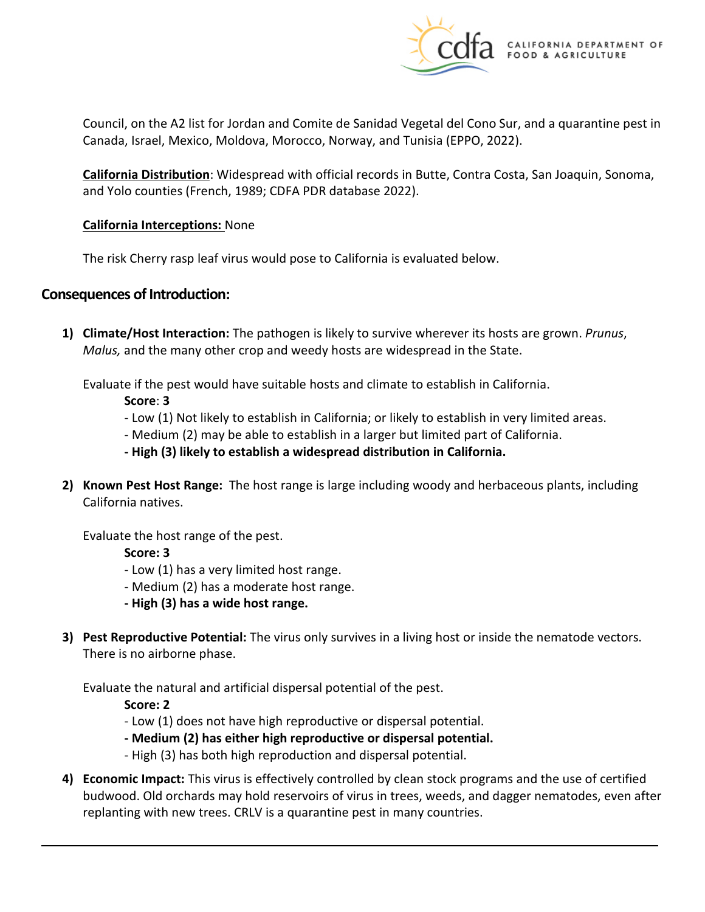

Council, on the A2 list for Jordan and Comite de Sanidad Vegetal del Cono Sur, and a quarantine pest in Canada, Israel, Mexico, Moldova, Morocco, Norway, and Tunisia (EPPO, 2022).

**California Distribution**: Widespread with official records in Butte, Contra Costa, San Joaquin, Sonoma, and Yolo counties (French, 1989; CDFA PDR database 2022).

### **California Interceptions:** None

The risk Cherry rasp leaf virus would pose to California is evaluated below.

## **Consequences of Introduction:**

**1) Climate/Host Interaction:** The pathogen is likely to survive wherever its hosts are grown. *Prunus*, *Malus,* and the many other crop and weedy hosts are widespread in the State.

Evaluate if the pest would have suitable hosts and climate to establish in California.

**Score**: **3** 

- Low (1) Not likely to establish in California; or likely to establish in very limited areas.
- Medium (2) may be able to establish in a larger but limited part of California.
- **- High (3) likely to establish a widespread distribution in California.**
- **2) Known Pest Host Range:** The host range is large including woody and herbaceous plants, including California natives.

Evaluate the host range of the pest.

**Score: 3** 

- Low (1) has a very limited host range.
- Medium (2) has a moderate host range.
- **- High (3) has a wide host range.**
- **3) Pest Reproductive Potential:** The virus only survives in a living host or inside the nematode vectors. There is no airborne phase.

Evaluate the natural and artificial dispersal potential of the pest.

**Score: 2** 

- Low (1) does not have high reproductive or dispersal potential.
- **- Medium (2) has either high reproductive or dispersal potential.**
- High (3) has both high reproduction and dispersal potential.
- **4) Economic Impact:** This virus is effectively controlled by clean stock programs and the use of certified budwood. Old orchards may hold reservoirs of virus in trees, weeds, and dagger nematodes, even after replanting with new trees. CRLV is a quarantine pest in many countries.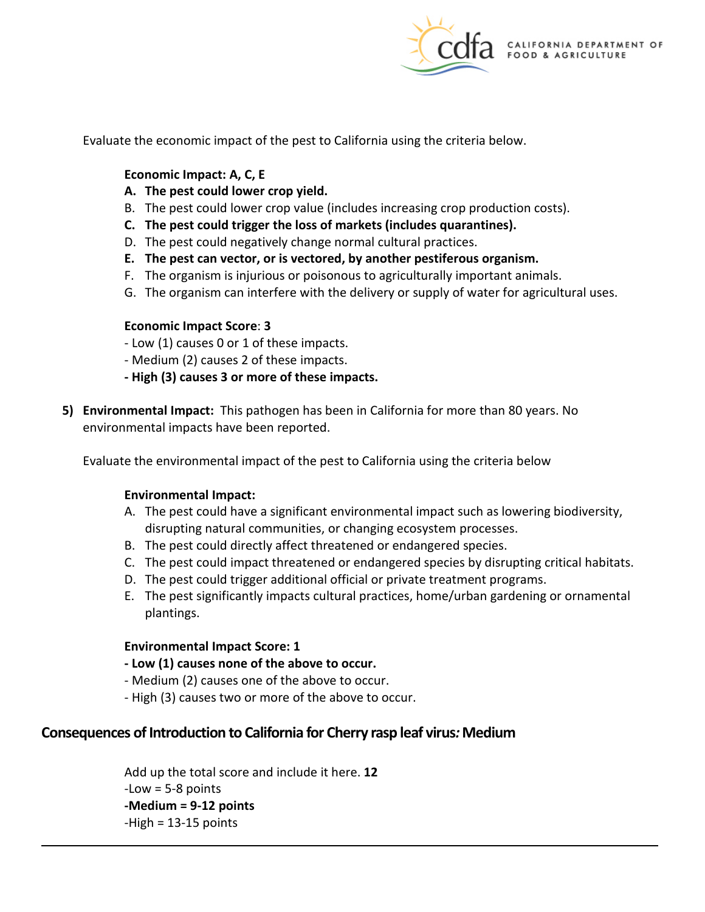

Evaluate the economic impact of the pest to California using the criteria below.

#### **Economic Impact: A, C, E**

- **A. The pest could lower crop yield.**
- B. The pest could lower crop value (includes increasing crop production costs).
- **C. The pest could trigger the loss of markets (includes quarantines).**
- D. The pest could negatively change normal cultural practices.
- **E. The pest can vector, or is vectored, by another pestiferous organism.**
- F. The organism is injurious or poisonous to agriculturally important animals.
- G. The organism can interfere with the delivery or supply of water for agricultural uses.

#### **Economic Impact Score**: **3**

- Low (1) causes 0 or 1 of these impacts.
- Medium (2) causes 2 of these impacts.
- **- High (3) causes 3 or more of these impacts.**
- **5) Environmental Impact:** This pathogen has been in California for more than 80 years. No environmental impacts have been reported.

Evaluate the environmental impact of the pest to California using the criteria below

#### **Environmental Impact:**

- A. The pest could have a significant environmental impact such as lowering biodiversity, disrupting natural communities, or changing ecosystem processes.
- B. The pest could directly affect threatened or endangered species.
- C. The pest could impact threatened or endangered species by disrupting critical habitats.
- D. The pest could trigger additional official or private treatment programs.
- E. The pest significantly impacts cultural practices, home/urban gardening or ornamental plantings.

#### **Environmental Impact Score: 1**

- **- Low (1) causes none of the above to occur.**
- Medium (2) causes one of the above to occur.
- High (3) causes two or more of the above to occur.

### **Consequences of Introduction to California for Cherry rasp leaf virus***:* **Medium**

Add up the total score and include it here. **12**   $-Low = 5-8$  points **-Medium = 9-12 points**  -High = 13-15 points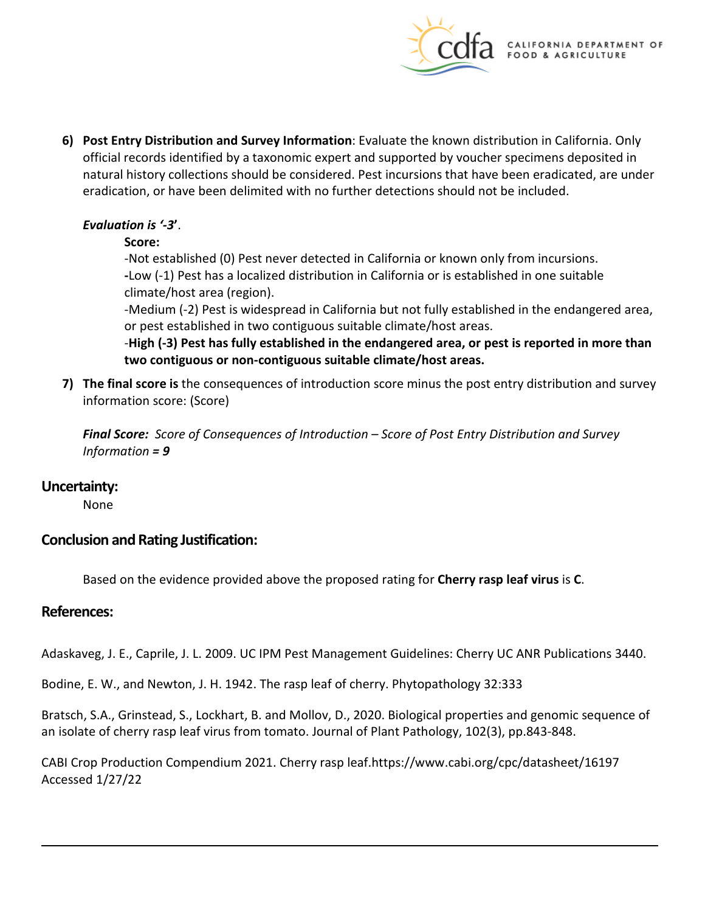

**6) Post Entry Distribution and Survey Information**: Evaluate the known distribution in California. Only official records identified by a taxonomic expert and supported by voucher specimens deposited in natural history collections should be considered. Pest incursions that have been eradicated, are under eradication, or have been delimited with no further detections should not be included.

## *Evaluation is '-3***'**.

### **Score:**

-Not established (0) Pest never detected in California or known only from incursions. **-**Low (-1) Pest has a localized distribution in California or is established in one suitable climate/host area (region).

-Medium (-2) Pest is widespread in California but not fully established in the endangered area, or pest established in two contiguous suitable climate/host areas.

-**High (-3) Pest has fully established in the endangered area, or pest is reported in more than two contiguous or non-contiguous suitable climate/host areas.** 

**7) The final score is** the consequences of introduction score minus the post entry distribution and survey information score: (Score)

*Final Score: Score of Consequences of Introduction – Score of Post Entry Distribution and Survey Information = 9* 

## **Uncertainty:**

None

## **Conclusion and Rating Justification:**

Based on the evidence provided above the proposed rating for **Cherry rasp leaf virus** is **C**.

## **References:**

Adaskaveg, J. E., Caprile, J. L. 2009. UC IPM Pest Management Guidelines: Cherry UC ANR Publications 3440.

Bodine, E. W., and Newton, J. H. 1942. The rasp leaf of cherry. Phytopathology 32:333

Bratsch, S.A., Grinstead, S., Lockhart, B. and Mollov, D., 2020. Biological properties and genomic sequence of an isolate of cherry rasp leaf virus from tomato. Journal of Plant Pathology, 102(3), pp.843-848.

CABI Crop Production Compendium 2021. Cherry rasp [leaf.https://www.cabi.org/cpc/datasheet/16197](https://leaf.https://www.cabi.org/cpc/datasheet/16197) Accessed 1/27/22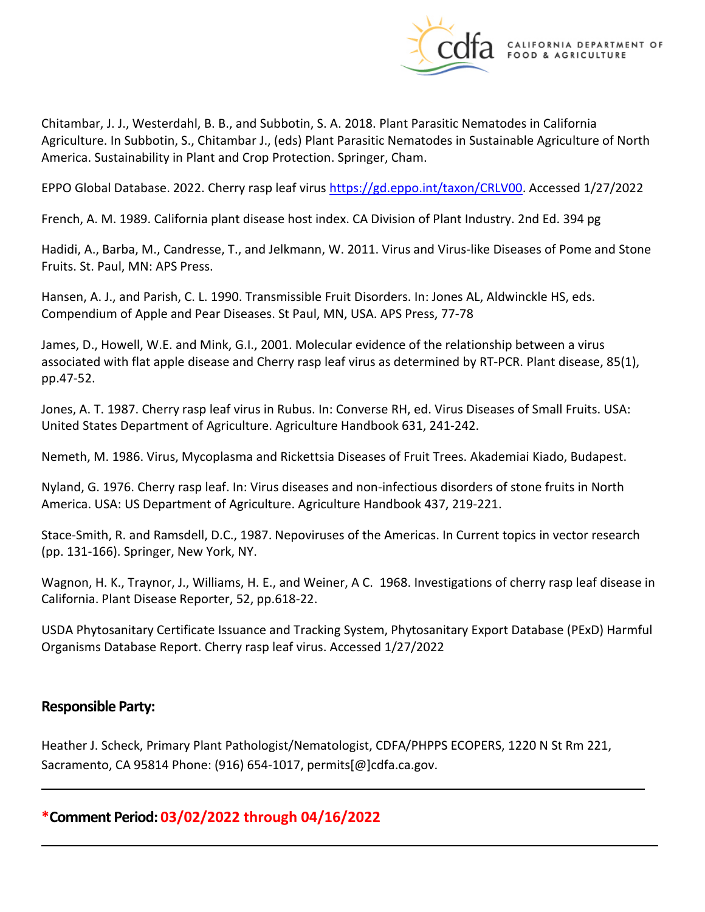

Chitambar, J. J., Westerdahl, B. B., and Subbotin, S. A. 2018. Plant Parasitic Nematodes in California Agriculture. In Subbotin, S., Chitambar J., (eds) Plant Parasitic Nematodes in Sustainable Agriculture of North America. Sustainability in Plant and Crop Protection. Springer, Cham.

EPPO Global Database. 2022. Cherry rasp leaf virus [https://gd.eppo.int/taxon/CRLV00.](https://gd.eppo.int/taxon/CSYV00) Accessed 1/27/2022

French, A. M. 1989. California plant disease host index. CA Division of Plant Industry. 2nd Ed. 394 pg

Hadidi, A., Barba, M., Candresse, T., and Jelkmann, W. 2011. Virus and Virus-like Diseases of Pome and Stone Fruits. St. Paul, MN: APS Press.

Hansen, A. J., and Parish, C. L. 1990. Transmissible Fruit Disorders. In: Jones AL, Aldwinckle HS, eds. Compendium of Apple and Pear Diseases. St Paul, MN, USA. APS Press, 77-78

James, D., Howell, W.E. and Mink, G.I., 2001. Molecular evidence of the relationship between a virus associated with flat apple disease and Cherry rasp leaf virus as determined by RT-PCR. Plant disease, 85(1), pp.47-52.

Jones, A. T. 1987. Cherry rasp leaf virus in Rubus. In: Converse RH, ed. Virus Diseases of Small Fruits. USA: United States Department of Agriculture. Agriculture Handbook 631, 241-242.

Nemeth, M. 1986. Virus, Mycoplasma and Rickettsia Diseases of Fruit Trees. Akademiai Kiado, Budapest.

Nyland, G. 1976. Cherry rasp leaf. In: Virus diseases and non-infectious disorders of stone fruits in North America. USA: US Department of Agriculture. Agriculture Handbook 437, 219-221.

Stace-Smith, R. and Ramsdell, D.C., 1987. Nepoviruses of the Americas. In Current topics in vector research (pp. 131-166). Springer, New York, NY.

Wagnon, H. K., Traynor, J., Williams, H. E., and Weiner, A C. 1968. Investigations of cherry rasp leaf disease in California. Plant Disease Reporter, 52, pp.618-22.

USDA Phytosanitary Certificate Issuance and Tracking System, Phytosanitary Export Database (PExD) Harmful Organisms Database Report. Cherry rasp leaf virus. Accessed 1/27/2022

## **Responsible Party:**

Heather J. Scheck, Primary Plant Pathologist/Nematologist, CDFA/PHPPS ECOPERS, 1220 N St Rm 221, Sacramento, CA 95814 Phone: (916) 654-1017, [permits\[@\]cdfa.ca.gov](https://permits[@]cdfa.ca.gov).

**\*Comment Period: 03/02/2022 through 04/16/2022**